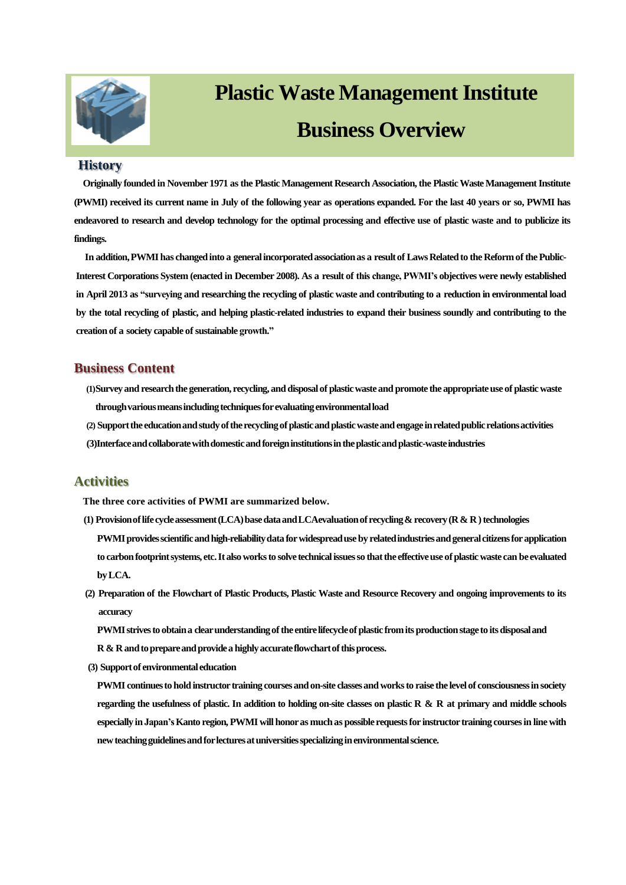

# **Plastic Waste Management Institute Business Overview**

#### **History**

**Originally founded in November 1971 as the Plastic Management Research Association, the Plastic Waste Management Institute (PWMI) received its current name in July of the following year as operations expanded. For the last 40 years or so, PWMI has endeavored to research and develop technology for the optimal processing and effective use of plastic waste and to publicize its findings.**

**In addition, PWMI has changed into a general incorporated association as a result of Laws Related to the Reform of the Public-Interest Corporations System (enacted in December 2008). As a result of this change, PWMI's objectives were newly established in April 2013 as "surveying and researching the recycling of plastic waste and contributing to a reduction in environmental load by the total recycling of plastic, and helping plastic-related industries to expand their business soundly and contributing to the creation of a society capable of sustainable growth."**

## **Business Content**

- **(1)Surveyand researchthe generation, recycling, and disposalof plasticwaste and promote the appropriateuse of plasticwaste**  through various means including techniques for evaluating environmental load
- **(2) Supportthe educationandstudyoftherecyclingofplasticandplasticwasteandengage inrelatedpublicrelationsactivities (3)Interfaceandcollaboratewithdomesticandforeigninstitutionsintheplasticandplastic-wasteindustries**

## **Activities**

**The three core activities of PWMI are summarized below.**

- **(1) Provisionoflifecycleassessment(LCA)basedataandLCAevaluationofrecycling& recovery(R& R)technologies PWMI provides scientific and high-reliability data for widespread use by related industries and general citizens for application to carbonfootprintsystems, etc.Italsoworksto solve technicalissuesso thatthe effectiveuse ofplasticwaste can be evaluated byLCA.**
- **(2) Preparation of the Flowchart of Plastic Products, Plastic Waste and Resource Recovery and ongoing improvements to its accuracy**

**PWMIstrivesto obtaina clearunderstandingofthe entirelifecycleofplastic fromitsproductionstage to itsdisposaland R & Randtoprepareandprovidea highlyaccurateflowchartofthisprocess.**

**(3) Supportof environmentaleducation**

**PWMI continuesto holdinstructor training coursesandon-site classesandworksto raise the levelof consciousnessin society regarding the usefulness of plastic. In addition to holding on-site classes on plastic R & R at primary and middle schools especially in Japan'sKanto region, PWMI willhonoras muchas possible requestsfor instructor training coursesin line with newteachingguidelinesandforlecturesatuniversitiesspecializinginenvironmentalscience.**